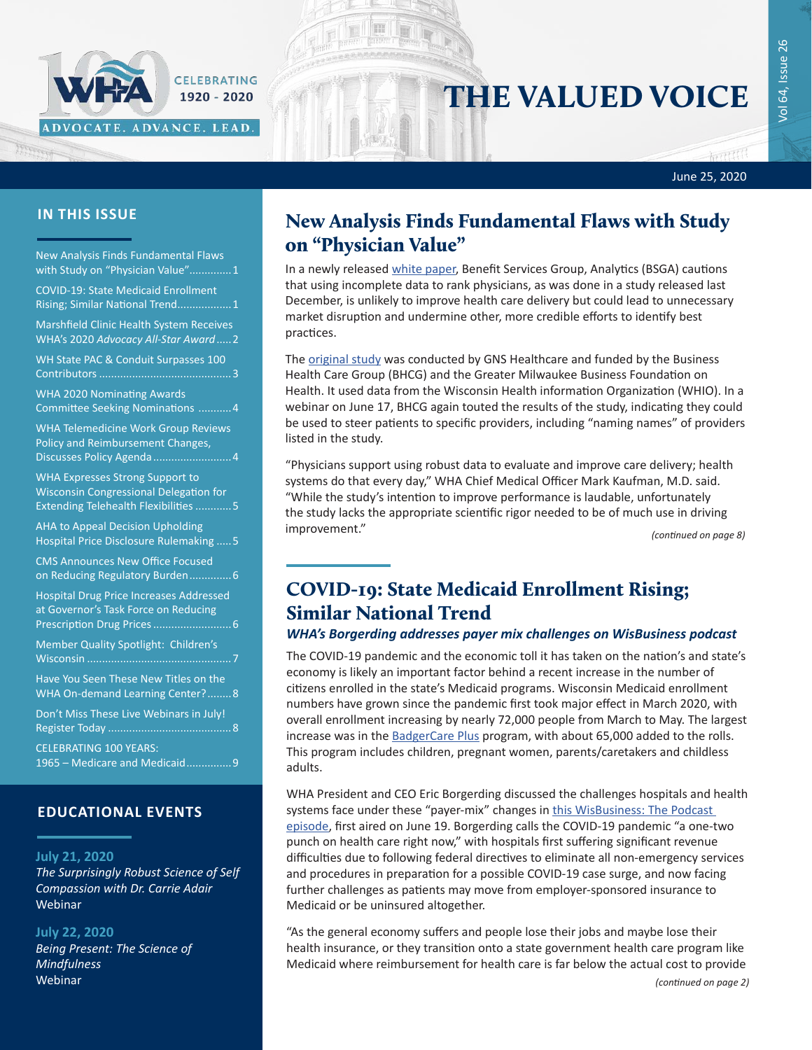## June 25, 2020

गास

### **IN THIS ISSUE**

Iffer

New Analysis Finds Fundamental Flaws with Study on "Physician Value"..............1

ADVOCATE. ADVANCE. LEAD.

CELEBRATING 1920 - 2020

COVID-19: State Medicaid Enrollment Rising; Similar National Trend..................1

[Marshfield Clinic Health System Receives](#page-1-0)  WHA's 2020 *[Advocacy All-Star Award](#page-1-0)*.....2

[WH State PAC & Conduit Surpasses 100](#page-2-0)  [Contributors............................................3](#page-2-0)

[WHA 2020 Nominating Awards](#page-3-0)  [Committee Seeking Nominations](#page-3-0) ...........4

[WHA Telemedicine Work Group Reviews](#page-3-0)  [Policy and Reimbursement Changes,](#page-3-0)  [Discusses Policy Agenda..........................4](#page-3-0)

[WHA Expresses Strong Support to](#page-4-0)  [Wisconsin Congressional Delegation for](#page-4-0)  [Extending Telehealth Flexibilities](#page-4-0) ............5

[AHA to Appeal Decision Upholding](#page-4-0)  [Hospital Price Disclosure Rulemaking](#page-4-0) .....5

[CMS Announces New Office Focused](#page-5-0)  [on Reducing Regulatory Burden..............6](#page-5-0)

[Hospital Drug Price Increases Addressed](#page-5-0)  [at Governor's Task Force on Reducing](#page-5-0)  [Prescription Drug Prices](#page-5-0)..........................6

[Member Quality Spotlight: Children's](#page-6-0)  Wisconsin [................................................7](#page-6-0)

[Have You Seen These New Titles on the](#page-7-0)  [WHA On-demand Learning Center?](#page-7-0)........8

[Don't Miss These Live Webinars in July!](#page-7-0)  Register Today [.........................................8](#page-7-0) CELEBRATING 100 YEARS:

[1965 – Medicare and Medicaid...............9](#page-8-0)

## **EDUCATIONAL EVENTS**

#### **July 21, 2020**

*[The Surprisingly Robust Science of Self](https://www.wha.org/AboutWHA/CalendarofEvents/Webinar-Online-Education/Enhancing-Resilience-Survival-of-the-Kindest-(6))  [Compassion with Dr. Carrie Adair](https://www.wha.org/AboutWHA/CalendarofEvents/Webinar-Online-Education/Enhancing-Resilience-Survival-of-the-Kindest-(6))* Webinar

#### **July 22, 2020**

*[Being Present: The Science of](https://www.whareg4.org/Resilience2020Y1/)  [Mindfulness](https://www.whareg4.org/Resilience2020Y1/)* Webinar

# New Analysis Finds Fundamental Flaws with Study on "Physician Value"

THE VALUED VOICE

In a newly released [white paper,](https://www.wha.org/BHCG-GNS-Wisconsin-Physician-Value-Study) Benefit Services Group, Analytics (BSGA) cautions that using incomplete data to rank physicians, as was done in a study released last December, is unlikely to improve health care delivery but could lead to unnecessary market disruption and undermine other, more credible efforts to identify best practices.

The [original study](https://www.wha.org/WisconsinPhysicianValueStudy) was conducted by GNS Healthcare and funded by the Business Health Care Group (BHCG) and the Greater Milwaukee Business Foundation on Health. It used data from the Wisconsin Health information Organization (WHIO). In a webinar on June 17, BHCG again touted the results of the study, indicating they could be used to steer patients to specific providers, including "naming names" of providers listed in the study.

"Physicians support using robust data to evaluate and improve care delivery; health systems do that every day," WHA Chief Medical Officer Mark Kaufman, M.D. said. "While the study's intention to improve performance is laudable, unfortunately the study lacks the appropriate scientific rigor needed to be of much use in driving improvement."

*(continued on page 8)*

# COVID-19: State Medicaid Enrollment Rising; Similar National Trend

### *WHA's Borgerding addresses payer mix challenges on WisBusiness podcast*

The COVID-19 pandemic and the economic toll it has taken on the nation's and state's economy is likely an important factor behind a recent increase in the number of citizens enrolled in the state's Medicaid programs. Wisconsin Medicaid enrollment numbers have grown since the pandemic first took major effect in March 2020, with overall enrollment increasing by nearly 72,000 people from March to May. The largest increase was in the [BadgerCare Plus](https://www.dhs.wisconsin.gov/badgercareplus/bcpstate-may.pdf) program, with about 65,000 added to the rolls. This program includes children, pregnant women, parents/caretakers and childless adults.

WHA President and CEO Eric Borgerding discussed the challenges hospitals and health systems face under these "payer-mix" changes in this WisBusiness: The Podcast [episode,](https://www.wisbusiness.com/2020/wisbusiness-the-podcast-with-eric-borgerding-wisconsin-hospital-association/) first aired on June 19. Borgerding calls the COVID-19 pandemic "a one-two punch on health care right now," with hospitals first suffering significant revenue difficulties due to following federal directives to eliminate all non-emergency services and procedures in preparation for a possible COVID-19 case surge, and now facing further challenges as patients may move from employer-sponsored insurance to Medicaid or be uninsured altogether.

"As the general economy suffers and people lose their jobs and maybe lose their health insurance, or they transition onto a state government health care program like Medicaid where reimbursement for health care is far below the actual cost to provide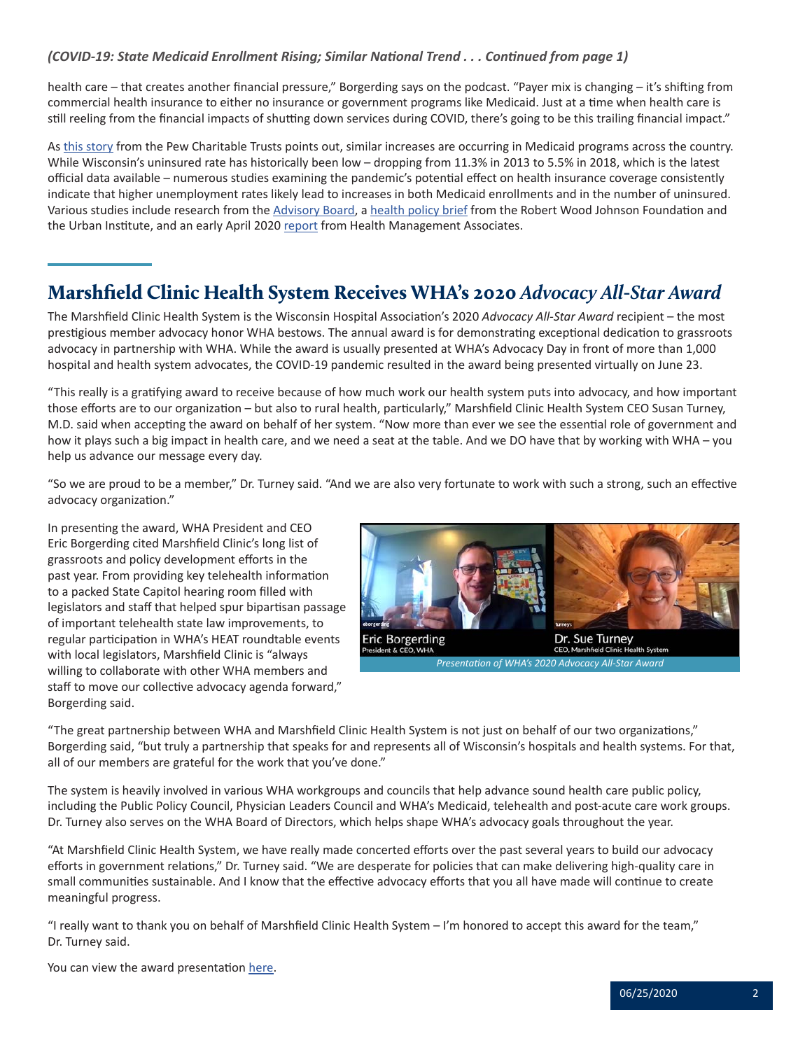## <span id="page-1-0"></span>*(COVID-19: State Medicaid Enrollment Rising; Similar National Trend . . . Continued from page 1)*

health care – that creates another financial pressure," Borgerding says on the podcast. "Payer mix is changing – it's shifting from commercial health insurance to either no insurance or government programs like Medicaid. Just at a time when health care is still reeling from the financial impacts of shutting down services during COVID, there's going to be this trailing financial impact."

As [this story](https://www.pewtrusts.org/en/research-and-analysis/blogs/stateline/2020/06/16/medicaid-rolls-surge-adding-to-budget-woes?) from the Pew Charitable Trusts points out, similar increases are occurring in Medicaid programs across the country. While Wisconsin's uninsured rate has historically been low – dropping from 11.3% in 2013 to 5.5% in 2018, which is the latest official data available – numerous studies examining the pandemic's potential effect on health insurance coverage consistently indicate that higher unemployment rates likely lead to increases in both Medicaid enrollments and in the number of uninsured. Various studies include research from the [Advisory Board](https://www.advisory.com/research/health-plan-advisory-council/members/expert-insights/2020/how-covid-19-will-impact-payer-enrollment-mix), a [health policy brief](https://www.rwjf.org/en/library/research/2020/05/how-the-covid-19-recession-could-affect-health-insurance-coverage.html?cid=xem_other_unpd_ini:quick%20strike_dte:20200504_des:quick%20strike) from the Robert Wood Johnson Foundation and the Urban Institute, and an early April 2020 [report](https://www.healthmanagement.com/wp-content/uploads/HMA-Estimates-of-COVID-Impact-on-Coverage-public-version-for-April-3-830-CT.pdf) from Health Management Associates.

# Marshfield Clinic Health System Receives WHA's 2020 *Advocacy All-Star Award*

The Marshfield Clinic Health System is the Wisconsin Hospital Association's 2020 *Advocacy All-Star Award* recipient – the most prestigious member advocacy honor WHA bestows. The annual award is for demonstrating exceptional dedication to grassroots advocacy in partnership with WHA. While the award is usually presented at WHA's Advocacy Day in front of more than 1,000 hospital and health system advocates, the COVID-19 pandemic resulted in the award being presented virtually on June 23.

"This really is a gratifying award to receive because of how much work our health system puts into advocacy, and how important those efforts are to our organization – but also to rural health, particularly," Marshfield Clinic Health System CEO Susan Turney, M.D. said when accepting the award on behalf of her system. "Now more than ever we see the essential role of government and how it plays such a big impact in health care, and we need a seat at the table. And we DO have that by working with WHA – you help us advance our message every day.

"So we are proud to be a member," Dr. Turney said. "And we are also very fortunate to work with such a strong, such an effective advocacy organization."

In presenting the award, WHA President and CEO Eric Borgerding cited Marshfield Clinic's long list of grassroots and policy development efforts in the past year. From providing key telehealth information to a packed State Capitol hearing room filled with legislators and staff that helped spur bipartisan passage of important telehealth state law improvements, to regular participation in WHA's HEAT roundtable events with local legislators, Marshfield Clinic is "always willing to collaborate with other WHA members and staff to move our collective advocacy agenda forward," Borgerding said.



*Presentation of WHA's 2020 Advocacy All-Star Award*

"The great partnership between WHA and Marshfield Clinic Health System is not just on behalf of our two organizations," Borgerding said, "but truly a partnership that speaks for and represents all of Wisconsin's hospitals and health systems. For that, all of our members are grateful for the work that you've done."

The system is heavily involved in various WHA workgroups and councils that help advance sound health care public policy, including the Public Policy Council, Physician Leaders Council and WHA's Medicaid, telehealth and post-acute care work groups. Dr. Turney also serves on the WHA Board of Directors, which helps shape WHA's advocacy goals throughout the year.

"At Marshfield Clinic Health System, we have really made concerted efforts over the past several years to build our advocacy efforts in government relations," Dr. Turney said. "We are desperate for policies that can make delivering high-quality care in small communities sustainable. And I know that the effective advocacy efforts that you all have made will continue to create meaningful progress.

"I really want to thank you on behalf of Marshfield Clinic Health System – I'm honored to accept this award for the team," Dr. Turney said.

You can view the award presentation [here](https://vimeo.com/432593682/b3281b3916).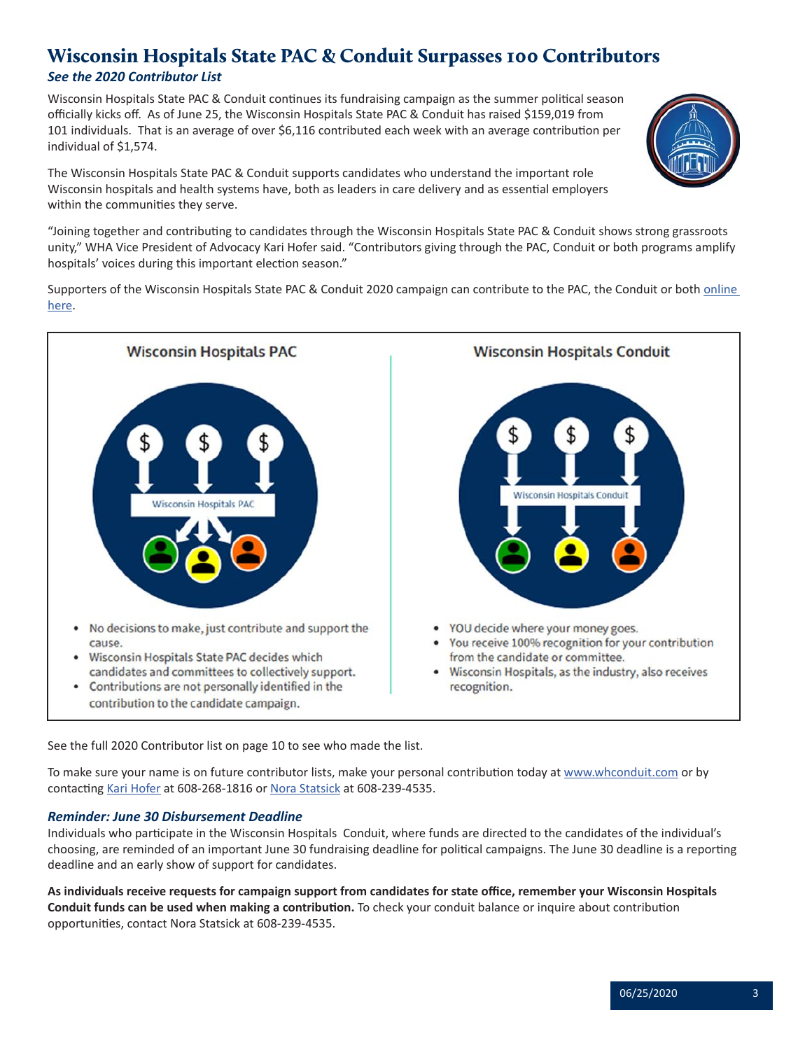# <span id="page-2-0"></span>Wisconsin Hospitals State PAC & Conduit Surpasses 100 Contributors

## *See the 2020 Contributor List*

Wisconsin Hospitals State PAC & Conduit continues its fundraising campaign as the summer political season officially kicks off. As of June 25, the Wisconsin Hospitals State PAC & Conduit has raised \$159,019 from 101 individuals. That is an average of over \$6,116 contributed each week with an average contribution per individual of \$1,574.



The Wisconsin Hospitals State PAC & Conduit supports candidates who understand the important role Wisconsin hospitals and health systems have, both as leaders in care delivery and as essential employers within the communities they serve.

"Joining together and contributing to candidates through the Wisconsin Hospitals State PAC & Conduit shows strong grassroots unity," WHA Vice President of Advocacy Kari Hofer said. "Contributors giving through the PAC, Conduit or both programs amplify hospitals' voices during this important election season."

Supporters of the Wisconsin Hospitals State PAC & Conduit 2020 campaign can contribute to the PAC, the Conduit or both *online* [here.](https://whconduit.com/)



See the full 2020 Contributor list on page 10 to see who made the list.

To make sure your name is on future contributor lists, make your personal contribution today at [www.whconduit.com](https://whconduit.com/) or by contacting [Kari Hofer](mailto:khofer@wha.org) at 608-268-1816 or [Nora Statsick](mailto:nstatsick@wha.org) at 608-239-4535.

## *Reminder: June 30 Disbursement Deadline*

Individuals who participate in the Wisconsin Hospitals Conduit, where funds are directed to the candidates of the individual's choosing, are reminded of an important June 30 fundraising deadline for political campaigns. The June 30 deadline is a reporting deadline and an early show of support for candidates.

**As individuals receive requests for campaign support from candidates for state office, remember your Wisconsin Hospitals Conduit funds can be used when making a contribution.** To check your conduit balance or inquire about contribution opportunities, contact Nora Statsick at 608-239-4535.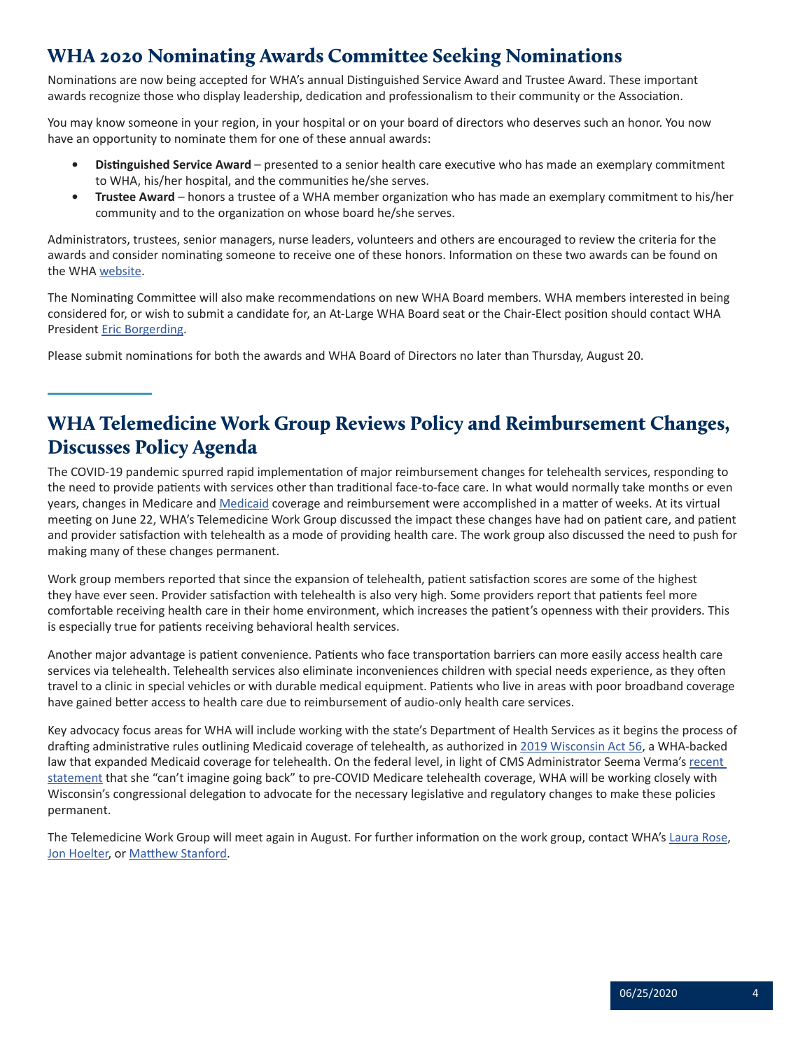# <span id="page-3-0"></span>WHA 2020 Nominating Awards Committee Seeking Nominations

Nominations are now being accepted for WHA's annual Distinguished Service Award and Trustee Award. These important awards recognize those who display leadership, dedication and professionalism to their community or the Association.

You may know someone in your region, in your hospital or on your board of directors who deserves such an honor. You now have an opportunity to nominate them for one of these annual awards:

- **• Distinguished Service Award** presented to a senior health care executive who has made an exemplary commitment to WHA, his/her hospital, and the communities he/she serves.
- **• Trustee Award** honors a trustee of a WHA member organization who has made an exemplary commitment to his/her community and to the organization on whose board he/she serves.

Administrators, trustees, senior managers, nurse leaders, volunteers and others are encouraged to review the criteria for the awards and consider nominating someone to receive one of these honors. Information on these two awards can be found on the WHA [website.](https://www.wha.org/AboutWHA/WHA-Awards)

The Nominating Committee will also make recommendations on new WHA Board members. WHA members interested in being considered for, or wish to submit a candidate for, an At-Large WHA Board seat or the Chair-Elect position should contact WHA President [Eric Borgerding](mailto:eborgerding@wha.org).

Please submit nominations for both the awards and WHA Board of Directors no later than Thursday, August 20.

# WHA Telemedicine Work Group Reviews Policy and Reimbursement Changes, Discusses Policy Agenda

The COVID-19 pandemic spurred rapid implementation of major reimbursement changes for telehealth services, responding to the need to provide patients with services other than traditional face-to-face care. In what would normally take months or even years, changes in Medicare and [Medicaid](https://www.forwardhealth.wi.gov/kw/pdf/2020-15.pdf) coverage and reimbursement were accomplished in a matter of weeks. At its virtual meeting on June 22, WHA's Telemedicine Work Group discussed the impact these changes have had on patient care, and patient and provider satisfaction with telehealth as a mode of providing health care. The work group also discussed the need to push for making many of these changes permanent.

Work group members reported that since the expansion of telehealth, patient satisfaction scores are some of the highest they have ever seen. Provider satisfaction with telehealth is also very high. Some providers report that patients feel more comfortable receiving health care in their home environment, which increases the patient's openness with their providers. This is especially true for patients receiving behavioral health services.

Another major advantage is patient convenience. Patients who face transportation barriers can more easily access health care services via telehealth. Telehealth services also eliminate inconveniences children with special needs experience, as they often travel to a clinic in special vehicles or with durable medical equipment. Patients who live in areas with poor broadband coverage have gained better access to health care due to reimbursement of audio-only health care services.

Key advocacy focus areas for WHA will include working with the state's Department of Health Services as it begins the process of drafting administrative rules outlining Medicaid coverage of telehealth, as authorized in [2019 Wisconsin Act 56](https://docs.legis.wisconsin.gov/2019/related/acts/56), a WHA-backed law that expanded Medicaid coverage for telehealth. On the federal level, in light of CMS Administrator Seema Verma's [recent](https://www.wha.org/MediaRoom/WHANewsletter/2020/06-11-2020/3)  [statement](https://www.wha.org/MediaRoom/WHANewsletter/2020/06-11-2020/3) that she "can't imagine going back" to pre-COVID Medicare telehealth coverage, WHA will be working closely with Wisconsin's congressional delegation to advocate for the necessary legislative and regulatory changes to make these policies permanent.

The Telemedicine Work Group will meet again in August. For further information on the work group, contact WHA's [Laura Rose](mailto:lrose@wha.org), [Jon Hoelter](mailto:jhoelter@wha.org), or [Matthew Stanford](mailto:mstanford@wha.org).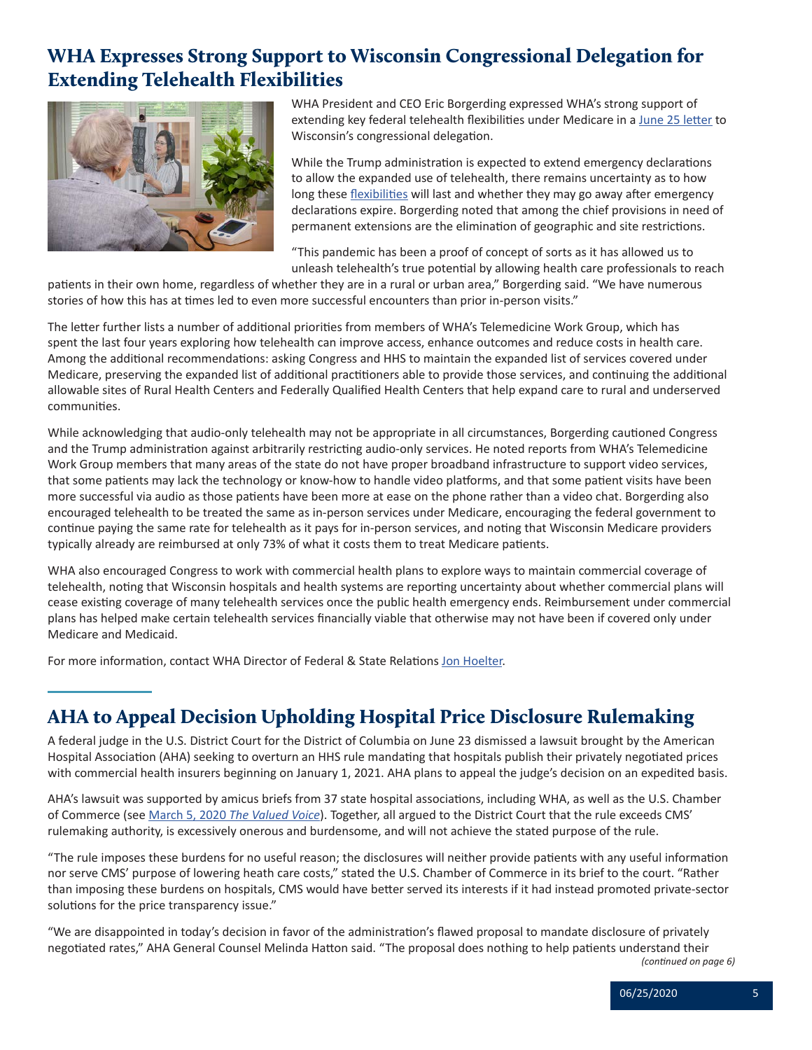# <span id="page-4-0"></span>WHA Expresses Strong Support to Wisconsin Congressional Delegation for Extending Telehealth Flexibilities

![](_page_4_Picture_1.jpeg)

WHA President and CEO Eric Borgerding expressed WHA's strong support of extending key federal telehealth flexibilities under Medicare in a [June 25 letter](https://www.wha.org/LetterReTelehealthExtensions) to Wisconsin's congressional delegation.

While the Trump administration is expected to extend emergency declarations to allow the expanded use of telehealth, there remains uncertainty as to how long these [flexibilities](https://www.wha.org/FactSheetonTelehealth) will last and whether they may go away after emergency declarations expire. Borgerding noted that among the chief provisions in need of permanent extensions are the elimination of geographic and site restrictions.

"This pandemic has been a proof of concept of sorts as it has allowed us to unleash telehealth's true potential by allowing health care professionals to reach

patients in their own home, regardless of whether they are in a rural or urban area," Borgerding said. "We have numerous stories of how this has at times led to even more successful encounters than prior in-person visits."

The letter further lists a number of additional priorities from members of WHA's Telemedicine Work Group, which has spent the last four years exploring how telehealth can improve access, enhance outcomes and reduce costs in health care. Among the additional recommendations: asking Congress and HHS to maintain the expanded list of services covered under Medicare, preserving the expanded list of additional practitioners able to provide those services, and continuing the additional allowable sites of Rural Health Centers and Federally Qualified Health Centers that help expand care to rural and underserved communities.

While acknowledging that audio-only telehealth may not be appropriate in all circumstances, Borgerding cautioned Congress and the Trump administration against arbitrarily restricting audio-only services. He noted reports from WHA's Telemedicine Work Group members that many areas of the state do not have proper broadband infrastructure to support video services, that some patients may lack the technology or know-how to handle video platforms, and that some patient visits have been more successful via audio as those patients have been more at ease on the phone rather than a video chat. Borgerding also encouraged telehealth to be treated the same as in-person services under Medicare, encouraging the federal government to continue paying the same rate for telehealth as it pays for in-person services, and noting that Wisconsin Medicare providers typically already are reimbursed at only 73% of what it costs them to treat Medicare patients.

WHA also encouraged Congress to work with commercial health plans to explore ways to maintain commercial coverage of telehealth, noting that Wisconsin hospitals and health systems are reporting uncertainty about whether commercial plans will cease existing coverage of many telehealth services once the public health emergency ends. Reimbursement under commercial plans has helped make certain telehealth services financially viable that otherwise may not have been if covered only under Medicare and Medicaid.

For more information, contact WHA Director of Federal & State Relations [Jon Hoelter](mailto:jhoelter@wha.org).

# AHA to Appeal Decision Upholding Hospital Price Disclosure Rulemaking

A federal judge in the U.S. District Court for the District of Columbia on June 23 dismissed a lawsuit brought by the American Hospital Association (AHA) seeking to overturn an HHS rule mandating that hospitals publish their privately negotiated prices with commercial health insurers beginning on January 1, 2021. AHA plans to appeal the judge's decision on an expedited basis.

AHA's lawsuit was supported by amicus briefs from 37 state hospital associations, including WHA, as well as the U.S. Chamber of Commerce (see March 5, 2020 *[The Valued Voice](https://www.wha.org/MediaRoom/WHANewsletter/2020/03-05-2020/WHA-and-U-S-Chamber-of-Commerce-File-Amicus-Briefs)*). Together, all argued to the District Court that the rule exceeds CMS' rulemaking authority, is excessively onerous and burdensome, and will not achieve the stated purpose of the rule.

"The rule imposes these burdens for no useful reason; the disclosures will neither provide patients with any useful information nor serve CMS' purpose of lowering heath care costs," stated the U.S. Chamber of Commerce in its brief to the court. "Rather than imposing these burdens on hospitals, CMS would have better served its interests if it had instead promoted private-sector solutions for the price transparency issue."

"We are disappointed in today's decision in favor of the administration's flawed proposal to mandate disclosure of privately negotiated rates," AHA General Counsel Melinda Hatton said. "The proposal does nothing to help patients understand their

*(continued on page 6)*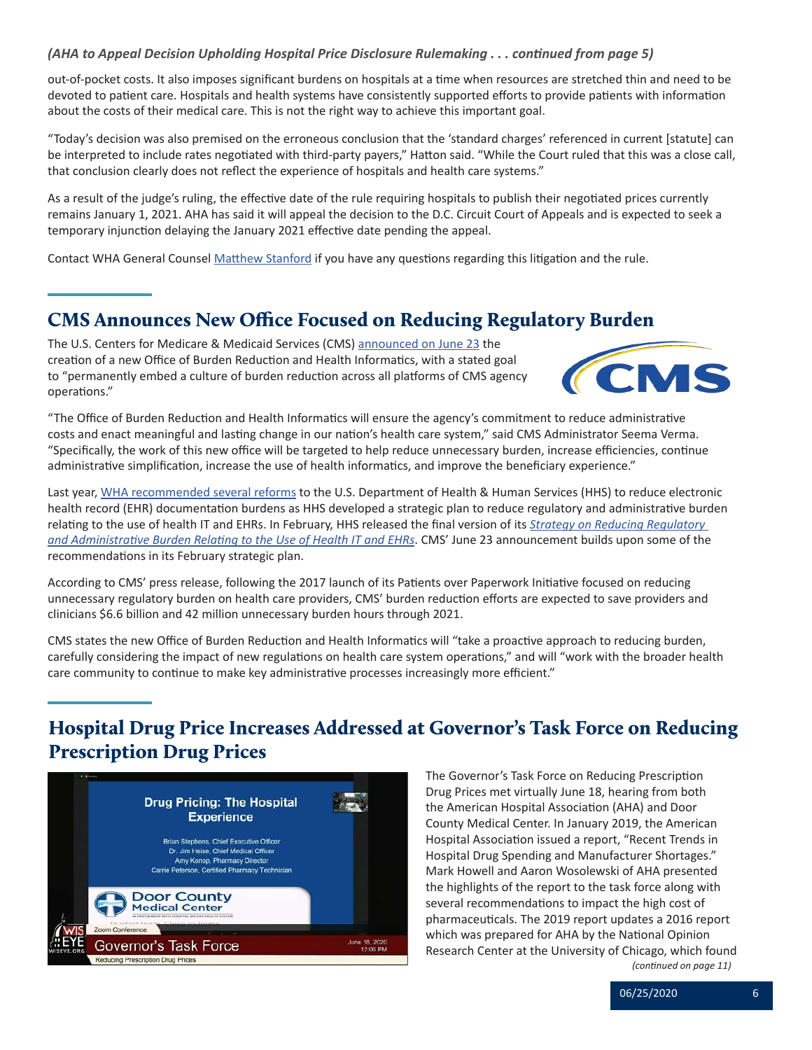### <span id="page-5-0"></span>*(AHA to Appeal Decision Upholding Hospital Price Disclosure Rulemaking . . . continued from page 5)*

out-of-pocket costs. It also imposes significant burdens on hospitals at a time when resources are stretched thin and need to be devoted to patient care. Hospitals and health systems have consistently supported efforts to provide patients with information about the costs of their medical care. This is not the right way to achieve this important goal.

"Today's decision was also premised on the erroneous conclusion that the 'standard charges' referenced in current [statute] can be interpreted to include rates negotiated with third-party payers," Hatton said. "While the Court ruled that this was a close call, that conclusion clearly does not reflect the experience of hospitals and health care systems."

As a result of the judge's ruling, the effective date of the rule requiring hospitals to publish their negotiated prices currently remains January 1, 2021. AHA has said it will appeal the decision to the D.C. Circuit Court of Appeals and is expected to seek a temporary injunction delaying the January 2021 effective date pending the appeal.

Contact WHA General Counsel [Matthew Stanford](mailto:mstanford@wha.org) if you have any questions regarding this litigation and the rule.

# CMS Announces New Office Focused on Reducing Regulatory Burden

The U.S. Centers for Medicare & Medicaid Services (CMS) [announced on June 23](https://www.cms.gov/newsroom/press-releases/cms-unveils-major-organizational-change-reduce-provider-and-clinician-burden-and-improve-patient) the creation of a new Office of Burden Reduction and Health Informatics, with a stated goal to "permanently embed a culture of burden reduction across all platforms of CMS agency operations."

![](_page_5_Picture_7.jpeg)

"The Office of Burden Reduction and Health Informatics will ensure the agency's commitment to reduce administrative costs and enact meaningful and lasting change in our nation's health care system," said CMS Administrator Seema Verma. "Specifically, the work of this new office will be targeted to help reduce unnecessary burden, increase efficiencies, continue administrative simplification, increase the use of health informatics, and improve the beneficiary experience."

Last year, [WHA recommended several reforms](https://www.wha.org/MediaRoom/WHANewsletter/2019/02-05-2019/WHA-RECOMMENDS-TO-HHS-REFORMS-TO-REDUCE-EHR-DOCUME) to the U.S. Department of Health & Human Services (HHS) to reduce electronic health record (EHR) documentation burdens as HHS developed a strategic plan to reduce regulatory and administrative burden relating to the use of health IT and EHRs. In February, HHS released the final version of its *[Strategy on Reducing Regulatory](https://www.healthit.gov/sites/default/files/page/2020-02/BurdenReport_0.pdf)  [and Administrative Burden Relating to the Use of Health IT and EHRs](https://www.healthit.gov/sites/default/files/page/2020-02/BurdenReport_0.pdf)*. CMS' June 23 announcement builds upon some of the recommendations in its February strategic plan.

According to CMS' press release, following the 2017 launch of its Patients over Paperwork Initiative focused on reducing unnecessary regulatory burden on health care providers, CMS' burden reduction efforts are expected to save providers and clinicians \$6.6 billion and 42 million unnecessary burden hours through 2021.

CMS states the new Office of Burden Reduction and Health Informatics will "take a proactive approach to reducing burden, carefully considering the impact of new regulations on health care system operations," and will "work with the broader health care community to continue to make key administrative processes increasingly more efficient."

# Hospital Drug Price Increases Addressed at Governor's Task Force on Reducing Prescription Drug Prices

![](_page_5_Picture_13.jpeg)

The Governor's Task Force on Reducing Prescription Drug Prices met virtually June 18, hearing from both the American Hospital Association (AHA) and Door County Medical Center. In January 2019, the American Hospital Association issued a report, "Recent Trends in Hospital Drug Spending and Manufacturer Shortages." Mark Howell and Aaron Wosolewski of AHA presented the highlights of the report to the task force along with several recommendations to impact the high cost of pharmaceuticals. The 2019 report updates a 2016 report which was prepared for AHA by the National Opinion Research Center at the University of Chicago, which found *(continued on page 11)*

06/25/2020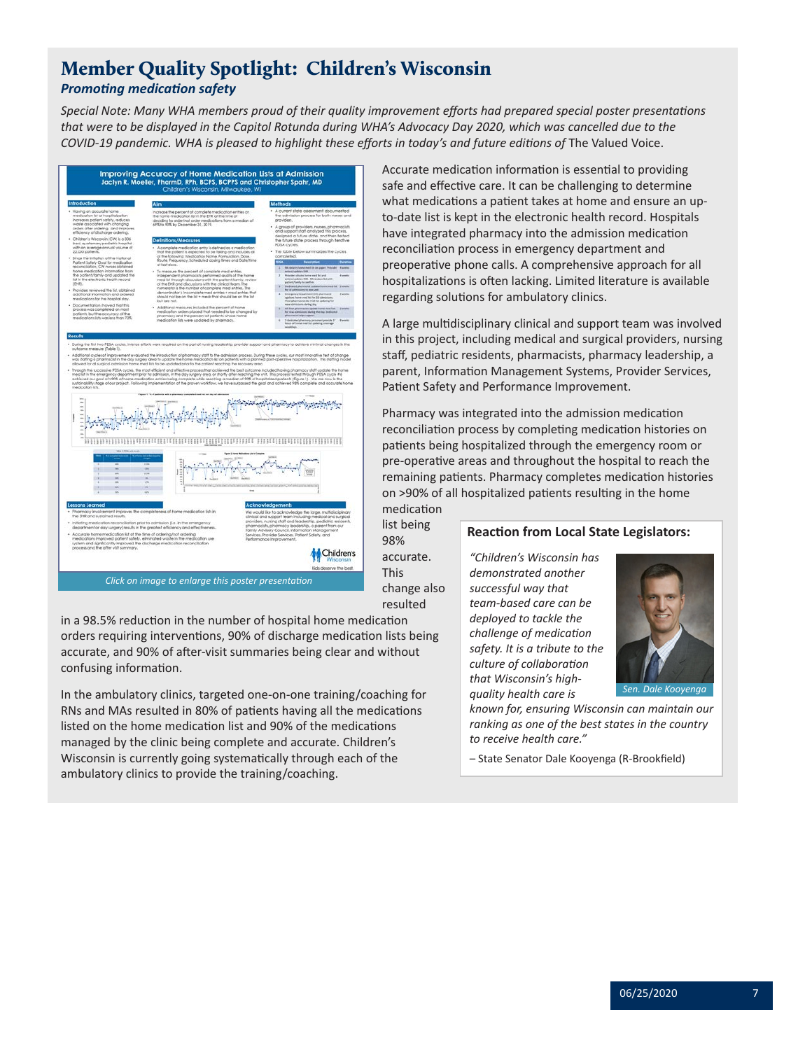## <span id="page-6-0"></span>Member Quality Spotlight: Children's Wisconsin *Promoting medication safety*

*Special Note: Many WHA members proud of their quality improvement efforts had prepared special poster presentations that were to be displayed in the Capitol Rotunda during WHA's Advocacy Day 2020, which was cancelled due to the COVID-19 pandemic. WHA is pleased to highlight these efforts in today's and future editions of* The Valued Voice.

| Introduction<br>. Having an accurate home<br>medication for at hospitalization.<br>increases patient safety, reduces<br>waste associated with changing<br>orders after ordering, and improves                                                                                                                                                                                                                                                                                                                                                                                                                                                                                        | <b>Alm</b><br>Increase the percent of complete medication entries on<br>the home medication list in the EHR of the time of<br>deciding to order/hol order medications from a median of<br>69% to 90% by December 31, 2019.                                                                                                                                                                                                                                                                                                                                                                                                                                                                                                                                                                                                                                                                                                                   | <b>Methods</b><br>· A current state assessment documented<br>the admission process for both nurses and<br>providers.<br>A group of providers, nurses, pharmacists<br>and support staff analyzed this process.                                                                                                                                                                                                                                                                                                                                                                                                                                                                                                                                                                                                                                                                                                  |
|--------------------------------------------------------------------------------------------------------------------------------------------------------------------------------------------------------------------------------------------------------------------------------------------------------------------------------------------------------------------------------------------------------------------------------------------------------------------------------------------------------------------------------------------------------------------------------------------------------------------------------------------------------------------------------------|----------------------------------------------------------------------------------------------------------------------------------------------------------------------------------------------------------------------------------------------------------------------------------------------------------------------------------------------------------------------------------------------------------------------------------------------------------------------------------------------------------------------------------------------------------------------------------------------------------------------------------------------------------------------------------------------------------------------------------------------------------------------------------------------------------------------------------------------------------------------------------------------------------------------------------------------|----------------------------------------------------------------------------------------------------------------------------------------------------------------------------------------------------------------------------------------------------------------------------------------------------------------------------------------------------------------------------------------------------------------------------------------------------------------------------------------------------------------------------------------------------------------------------------------------------------------------------------------------------------------------------------------------------------------------------------------------------------------------------------------------------------------------------------------------------------------------------------------------------------------|
| efficiency of discharge ordering.<br>Children's Wisconsin (CW) is a 306<br>bed, quatemary pediatric hospital<br>with an average annual volume of<br>22.000 patients<br>Since the initiation of the National<br>Patient Safety Goal for medication<br>reconcliation. CW nunes obhained<br>home medication information from<br>the potlent/family and updated the<br>list in the electronic health record<br>(SHR)<br>Providers reviewed the lsf, obhained<br>additional information and ordered<br>medications for the hospital stay.<br>Documentation showed that this<br>process was completed on most<br>potients, but the accuracy of the<br>medications lists was less than 70%. | Definitions/Measures<br>A complete medication entry is defined as a medication<br>that the pottent is expected to be taking and includes all<br>at the following: Medication Name. Formulation, Dase.<br>Route, Trequency, Scheduled dosing times and Date/time<br>of last dose.<br>· To measure the percent of complete med entries,<br>independent pharmocists performed avails of the home<br>med lst through discussions with the patient/family, review<br>of the EHR and discussions with the clinical fears. The<br>rumerator is the number of complete med entries. The<br>denominator is incomplete med entitles . med entries that<br>the off no ediploping to the thin + tal ert no ed ton bluoris<br>but ore not.<br>· Additional measures included the percent of home<br>medication orden placed that needed to be changed by<br>pharmacy and the percent of patients whose home<br>medication lists were updated by pharmacy. | designed a future state, and then tested<br>the future state process through iterative<br><b>PDSA</b> cycles<br>. The fable below summarizes the cycles<br>completed.<br><b>OSA</b><br>PA obtains home med for on piger.<br>÷<br>Arthur Anderson State<br>×<br>Philadelphia Internal and list and<br>di sono<br>enters/confident DVA NWH<br>as list was<br>patient/family to confirm.<br>Deduced phone and updates home med full. 2 week<br>٠<br>for all admissions to one unit.<br>Emingency Department (CD) phonourint<br>٠<br>7 aprol<br>gebore hame med let for CO samples<br>Phoer pharmacrists do med het codering for<br>new admissions during ting.<br>All floor pharmacists spillet home med lists 2 am<br>for nine admission during the day. Deducted<br>pharmacist helps copport.<br>3 dedicated pharmacy personnel provide 17<br>Neuro of home meditor systemy systematy<br>$\mathbf{r}$<br>skówi. |
| markrating life.                                                                                                                                                                                                                                                                                                                                                                                                                                                                                                                                                                                                                                                                     | sultainability stage of our project. Following implementation of the proven workflow, we have surpossed the goal and achieved 98% cornolete and accurate home<br>a 1 % of polaris with a plus<br>and traditional students are done of an<br>a Lee                                                                                                                                                                                                                                                                                                                                                                                                                                                                                                                                                                                                                                                                                            |                                                                                                                                                                                                                                                                                                                                                                                                                                                                                                                                                                                                                                                                                                                                                                                                                                                                                                                |
| ,,,,,,,,,,,                                                                                                                                                                                                                                                                                                                                                                                                                                                                                                                                                                                                                                                                          |                                                                                                                                                                                                                                                                                                                                                                                                                                                                                                                                                                                                                                                                                                                                                                                                                                                                                                                                              | H H H H H H                                                                                                                                                                                                                                                                                                                                                                                                                                                                                                                                                                                                                                                                                                                                                                                                                                                                                                    |
| ×<br>Vw.                                                                                                                                                                                                                                                                                                                                                                                                                                                                                                                                                                                                                                                                             | DATES:<br><b>CHE</b><br>14.756<br>$\sim$<br>1.79<br>TO THE RESIDENCE OF CONTRACTOR CONTRACTOR CONTRACTORS OF THE CONTRACTOR CONTRACTOR<br>$\overline{\phantom{a}}$<br><b>Sent</b><br><b>Side</b>                                                                                                                                                                                                                                                                                                                                                                                                                                                                                                                                                                                                                                                                                                                                             | Total Market                                                                                                                                                                                                                                                                                                                                                                                                                                                                                                                                                                                                                                                                                                                                                                                                                                                                                                   |
| <b>Lessons Learned</b><br>the EHR and sustained results.<br>. Initiating medication reconciliation prior to admission (i.e. in the emergency<br>. Accurate home medication list at the time of ordering/not ordering<br>system and significantly improved the discharge medication reconcilation<br>process and the after visit summary.                                                                                                                                                                                                                                                                                                                                             | Pharmacy involvement improves the completeness of home medication lists in<br>department or day surgery) results in the greatest efficiency and effectiveness.<br>medications improved patient safety, eliminated waste in the medication use.                                                                                                                                                                                                                                                                                                                                                                                                                                                                                                                                                                                                                                                                                               | Acknowledgements<br>We would like to acknowledge the large, multidisciplinary<br>clinical and support team including medical and surgical<br>provideni, nutsing staff and leadership, pediatric residents,<br>pharmacists, pharmacy leadership, a parent from our<br>Family Advisory Council, Information Management<br>Services. Provider Services. Pattent Safety, and<br>Performance improvement.<br>hildren's                                                                                                                                                                                                                                                                                                                                                                                                                                                                                              |

in a 98.5% reduction in the number of hospital home medication orders requiring interventions, 90% of discharge medication lists being accurate, and 90% of after-visit summaries being clear and without confusing information.

In the ambulatory clinics, targeted one-on-one training/coaching for RNs and MAs resulted in 80% of patients having all the medications listed on the home medication list and 90% of the medications managed by the clinic being complete and accurate. Children's Wisconsin is currently going systematically through each of the ambulatory clinics to provide the training/coaching.

Accurate medication information is essential to providing safe and effective care. It can be challenging to determine what medications a patient takes at home and ensure an upto-date list is kept in the electronic health record. Hospitals have integrated pharmacy into the admission medication reconciliation process in emergency department and preoperative phone calls. A comprehensive approach for all hospitalizations is often lacking. Limited literature is available regarding solutions for ambulatory clinics.

A large multidisciplinary clinical and support team was involved in this project, including medical and surgical providers, nursing staff, pediatric residents, pharmacists, pharmacy leadership, a parent, Information Management Systems, Provider Services, Patient Safety and Performance Improvement.

Pharmacy was integrated into the admission medication reconciliation process by completing medication histories on patients being hospitalized through the emergency room or pre-operative areas and throughout the hospital to reach the remaining patients. Pharmacy completes medication histories on >90% of all hospitalized patients resulting in the home medication

list being 98% accurate. This change also resulted

#### **Reaction from Local State Legislators:**

*"Children's Wisconsin has demonstrated another successful way that team-based care can be deployed to tackle the challenge of medication safety. It is a tribute to the culture of collaboration that Wisconsin's highquality health care is* 

![](_page_6_Picture_11.jpeg)

*known for, ensuring Wisconsin can maintain our ranking as one of the best states in the country to receive health care."* 

– State Senator Dale Kooyenga (R-Brookfield)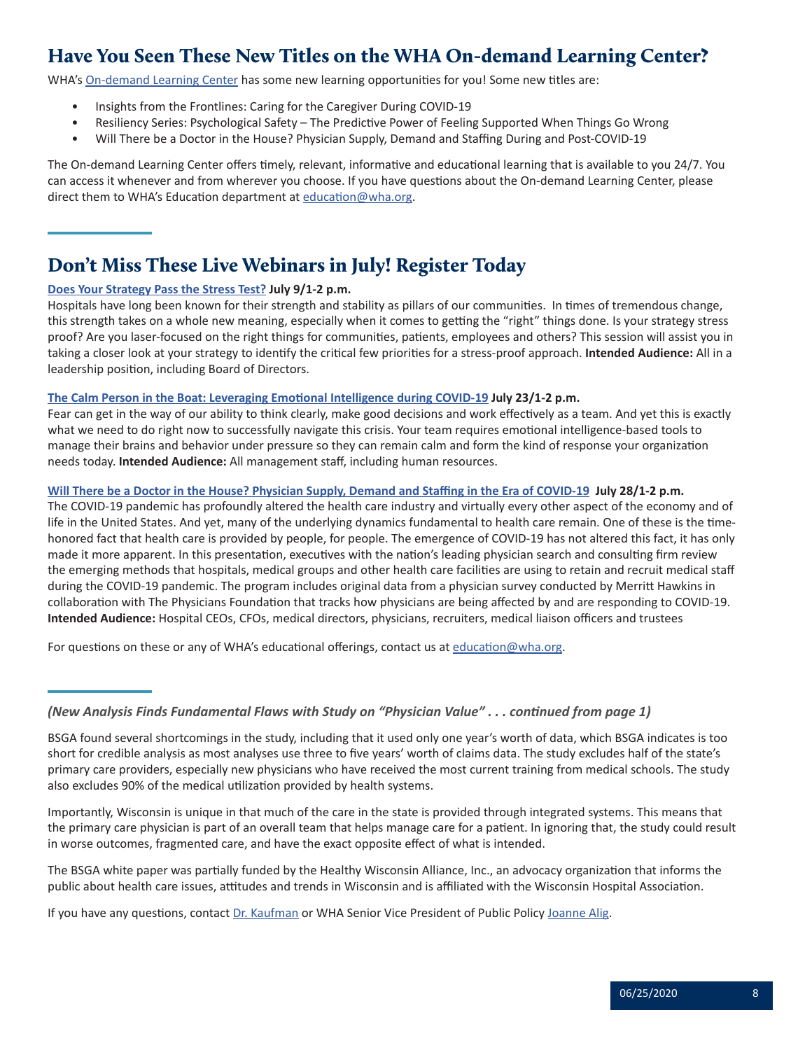# <span id="page-7-0"></span>Have You Seen These New Titles on the WHA On-demand Learning Center?

WHA's [On-demand Learning Center](https://www.wha.org/On-demandLearning) has some new learning opportunities for you! Some new titles are:

- Insights from the Frontlines: Caring for the Caregiver During COVID-19
- Resiliency Series: Psychological Safety The Predictive Power of Feeling Supported When Things Go Wrong
- Will There be a Doctor in the House? Physician Supply, Demand and Staffing During and Post-COVID-19

The On-demand Learning Center offers timely, relevant, informative and educational learning that is available to you 24/7. You can access it whenever and from wherever you choose. If you have questions about the On-demand Learning Center, please direct them to WHA's Education department at [education@wha.org](mailto:education@wha.org).

# Don't Miss These Live Webinars in July! Register Today

### **[Does Your Strategy Pass the Stress Test?](https://www.whareg4.org/StressTest2020/) July 9/1-2 p.m.**

Hospitals have long been known for their strength and stability as pillars of our communities. In times of tremendous change, this strength takes on a whole new meaning, especially when it comes to getting the "right" things done. Is your strategy stress proof? Are you laser-focused on the right things for communities, patients, employees and others? This session will assist you in taking a closer look at your strategy to identify the critical few priorities for a stress-proof approach. **Intended Audience:** All in a leadership position, including Board of Directors.

### **[The Calm Person in the Boat: Leveraging Emotional Intelligence during COVID-19](https://www.whareg4.org/LeveragingEI2020/) July 23/1-2 p.m.**

Fear can get in the way of our ability to think clearly, make good decisions and work effectively as a team. And yet this is exactly what we need to do right now to successfully navigate this crisis. Your team requires emotional intelligence-based tools to manage their brains and behavior under pressure so they can remain calm and form the kind of response your organization needs today. **Intended Audience:** All management staff, including human resources.

### **[Will There be a Doctor in the House? Physician Supply, Demand and Staffing in the Era of COVID-19](https://www.whareg4.org/DoctorInHouse2020/) July 28/1-2 p.m.**

The COVID-19 pandemic has profoundly altered the health care industry and virtually every other aspect of the economy and of life in the United States. And yet, many of the underlying dynamics fundamental to health care remain. One of these is the timehonored fact that health care is provided by people, for people. The emergence of COVID-19 has not altered this fact, it has only made it more apparent. In this presentation, executives with the nation's leading physician search and consulting firm review the emerging methods that hospitals, medical groups and other health care facilities are using to retain and recruit medical staff during the COVID-19 pandemic. The program includes original data from a physician survey conducted by Merritt Hawkins in collaboration with The Physicians Foundation that tracks how physicians are being affected by and are responding to COVID-19. **Intended Audience:** Hospital CEOs, CFOs, medical directors, physicians, recruiters, medical liaison officers and trustees

For questions on these or any of WHA's educational offerings, contact us at [education@wha.org](mailto:education@wha.org).

*(New Analysis Finds Fundamental Flaws with Study on "Physician Value" . . . continued from page 1)*

Importantly, Wisconsin is unique in that much of the care in the state is provided through integrated systems. This means that the primary care physician is part of an overall team that helps manage care for a patient. In ignoring that, the study could result in worse outcomes, fragmented care, and have the exact opposite effect of what is intended.

The BSGA white paper was partially funded by the Healthy Wisconsin Alliance, Inc., an advocacy organization that informs the public about health care issues, attitudes and trends in Wisconsin and is affiliated with the Wisconsin Hospital Association.

If you have any questions, contact [Dr. Kaufman](mailto:mkaufman@wha.org) or WHA Senior Vice President of Public Policy [Joanne Alig](mailto:jalig@wha.org).

BSGA found several shortcomings in the study, including that it used only one year's worth of data, which BSGA indicates is too short for credible analysis as most analyses use three to five years' worth of claims data. The study excludes half of the state's primary care providers, especially new physicians who have received the most current training from medical schools. The study also excludes 90% of the medical utilization provided by health systems.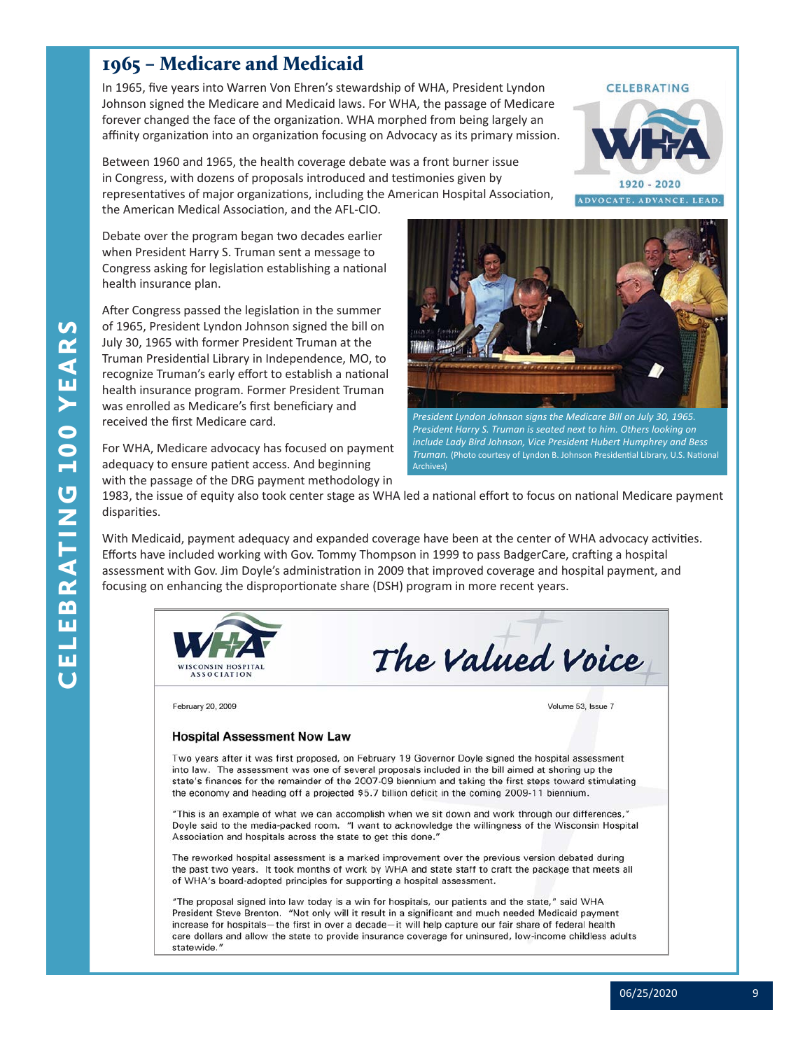# <span id="page-8-0"></span>1965 – Medicare and Medicaid

In 1965, five years into Warren Von Ehren's stewardship of WHA, President Lyndon Johnson signed the Medicare and Medicaid laws. For WHA, the passage of Medicare forever changed the face of the organization. WHA morphed from being largely an affinity organization into an organization focusing on Advocacy as its primary mission.

Between 1960 and 1965, the health coverage debate was a front burner issue in Congress, with dozens of proposals introduced and testimonies given by representatives of major organizations, including the American Hospital Association, the American Medical Association, and the AFL-CIO.

Debate over the program began two decades earlier when President Harry S. Truman sent a message to Congress asking for legislation establishing a national health insurance plan.

After Congress passed the legislation in the summer of 1965, President Lyndon Johnson signed the bill on July 30, 1965 with former President Truman at the Truman Presidential Library in Independence, MO, to recognize Truman's early effort to establish a national health insurance program. Former President Truman was enrolled as Medicare's first beneficiary and received the first Medicare card.

For WHA, Medicare advocacy has focused on payment adequacy to ensure patient access. And beginning with the passage of the DRG payment methodology in

![](_page_8_Picture_6.jpeg)

*President Lyndon Johnson signs the Medicare Bill on July 30, 1965. President Harry S. Truman is seated next to him. Others looking on include Lady Bird Johnson, Vice President Hubert Humphrey and Bess Truman.* (Photo courtesy of Lyndon B. Johnson Presidential Library, U.S. National Archives)

1983, the issue of equity also took center stage as WHA led a national effort to focus on national Medicare payment disparities.

With Medicaid, payment adequacy and expanded coverage have been at the center of WHA advocacy activities. Efforts have included working with Gov. Tommy Thompson in 1999 to pass BadgerCare, crafting a hospital assessment with Gov. Jim Doyle's administration in 2009 that improved coverage and hospital payment, and focusing on enhancing the disproportionate share (DSH) program in more recent years.

![](_page_8_Picture_10.jpeg)

## **CELEBRATING**

 $1920 - 2020$ ADVOCATE. ADVANCE. LEAD.

CELEBRATING 100 YEARS YEAR 100 BRATING Ш ω  $\overline{\mathbf{U}}$ 

 $\mathbf{v}$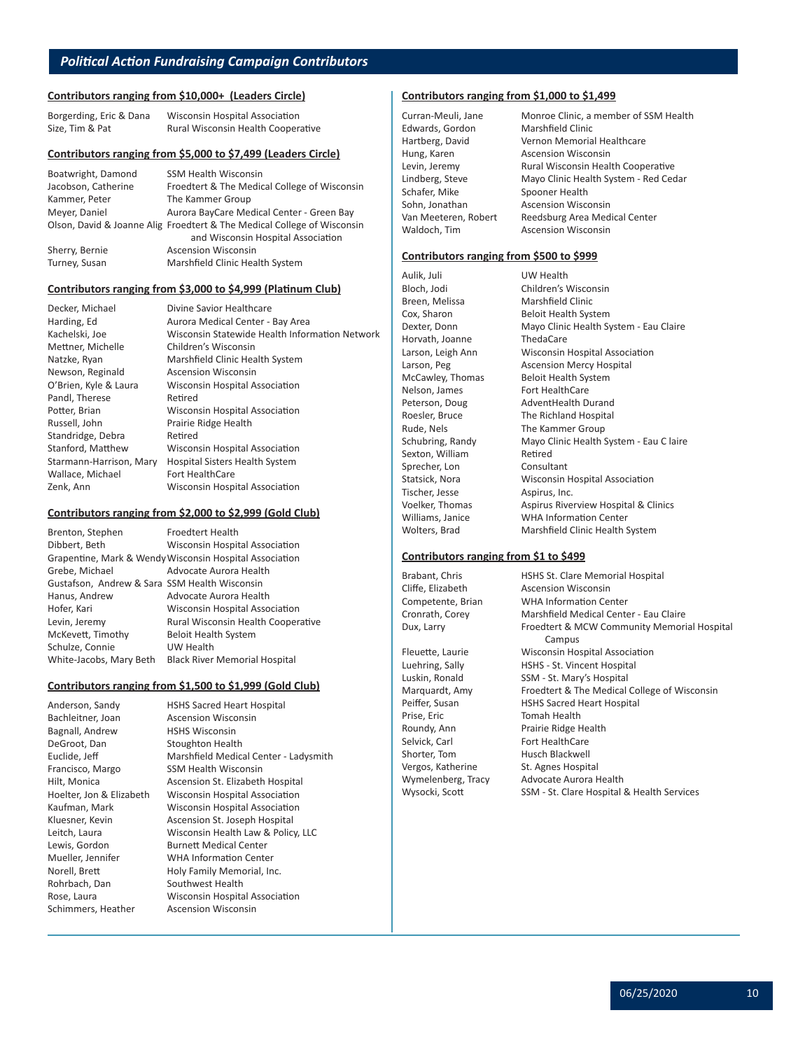#### **Contributors ranging from \$10,000+ (Leaders Circle)**

| Borgerding, Eric & Dana | Wisconsin Hospital Association     |
|-------------------------|------------------------------------|
| Size, Tim & Pat         | Rural Wisconsin Health Cooperative |

#### **Contributors ranging from \$5,000 to \$7,499 (Leaders Circle)**

| Boatwright, Damond  | <b>SSM Health Wisconsin</b>                                             |
|---------------------|-------------------------------------------------------------------------|
| Jacobson, Catherine | Froedtert & The Medical College of Wisconsin                            |
| Kammer, Peter       | The Kammer Group                                                        |
| Meyer, Daniel       | Aurora BayCare Medical Center - Green Bay                               |
|                     | Olson, David & Joanne Alig Froedtert & The Medical College of Wisconsin |
|                     | and Wisconsin Hospital Association                                      |
| Sherry, Bernie      | <b>Ascension Wisconsin</b>                                              |
| Turney, Susan       | Marshfield Clinic Health System                                         |

#### **Contributors ranging from \$3,000 to \$4,999 (Platinum Club)**

| Decker, Michael         | Divine Savior Healthcare                       |
|-------------------------|------------------------------------------------|
| Harding, Ed             | Aurora Medical Center - Bay Area               |
| Kachelski, Joe          | Wisconsin Statewide Health Information Network |
| Mettner, Michelle       | Children's Wisconsin                           |
| Natzke, Ryan            | Marshfield Clinic Health System                |
| Newson, Reginald        | <b>Ascension Wisconsin</b>                     |
| O'Brien, Kyle & Laura   | Wisconsin Hospital Association                 |
| Pandl, Therese          | Retired                                        |
| Potter, Brian           | Wisconsin Hospital Association                 |
| Russell, John           | Prairie Ridge Health                           |
| Standridge, Debra       | Retired                                        |
| Stanford, Matthew       | Wisconsin Hospital Association                 |
| Starmann-Harrison, Mary | <b>Hospital Sisters Health System</b>          |
| Wallace, Michael        | Fort HealthCare                                |
| Zenk, Ann               | Wisconsin Hospital Association                 |
|                         |                                                |

#### **Contributors ranging from \$2,000 to \$2,999 (Gold Club)**

| Brenton, Stephen                              | Froedtert Health                                        |
|-----------------------------------------------|---------------------------------------------------------|
| Dibbert, Beth                                 | Wisconsin Hospital Association                          |
|                                               | Grapentine, Mark & Wendy Wisconsin Hospital Association |
| Grebe, Michael                                | Advocate Aurora Health                                  |
| Gustafson, Andrew & Sara SSM Health Wisconsin |                                                         |
| Hanus, Andrew                                 | Advocate Aurora Health                                  |
| Hofer, Kari                                   | Wisconsin Hospital Association                          |
| Levin, Jeremy                                 | Rural Wisconsin Health Cooperative                      |
| McKevett, Timothy                             | <b>Beloit Health System</b>                             |
| Schulze, Connie                               | UW Health                                               |
| White-Jacobs, Mary Beth                       | <b>Black River Memorial Hospital</b>                    |

#### **Contributors ranging from \$1,500 to \$1,999 (Gold Club)**

Anderson, Sandy HSHS Sacred Heart Hospital Bachleitner, Joan Ascension Wisconsin Bagnall, Andrew HSHS Wisconsin DeGroot, Dan Stoughton Health Euclide, Jeff Marshfield Medical Center - Ladysmith Francisco, Margo SSM Health Wisconsin Hilt, Monica **Ascension St. Elizabeth Hospital** Hoelter, Jon & Elizabeth Wisconsin Hospital Association Kaufman, Mark Wisconsin Hospital Association Kluesner, Kevin **Ascension St. Joseph Hospital** Leitch, Laura Wisconsin Health Law & Policy, LLC Lewis, Gordon Burnett Medical Center Mueller, Jennifer WHA Information Center Norell, Brett Holy Family Memorial, Inc. Rohrbach, Dan Southwest Health Rose, Laura Wisconsin Hospital Association Schimmers, Heather Ascension Wisconsin

### **Contributors ranging from \$1,000 to \$1,499**

Edwards, Gordon Marshfield Clinic Hung, Karen **Ascension Wisconsin** Schafer, Mike Spooner Health<br>Sohn, Jonathan Ascension Wisco

Curran-Meuli, Jane Monroe Clinic, a member of SSM Health Hartberg, David Vernon Memorial Healthcare Levin, Jeremy **Rural Wisconsin Health Cooperative** Lindberg, Steve Mayo Clinic Health System - Red Cedar **Ascension Wisconsin** Van Meeteren, Robert Reedsburg Area Medical Center Waldoch, Tim Ascension Wisconsin

#### **Contributors ranging from \$500 to \$999**

Aulik, Juli UW Health Bloch, Jodi Children's Wisconsin<br>Breen, Melissa Marshfield Clinic Horvath, Joanne ThedaCare Nelson, James Fort HealthCare Rude, Nels The Kammer Group Sexton, William Retired Sprecher, Lon Consultant Tischer, Jesse Aspirus, Inc.

Marshfield Clinic Cox, Sharon Beloit Health System Dexter, Donn Mayo Clinic Health System - Eau Claire Larson, Leigh Ann Wisconsin Hospital Association<br>
Larson, Peg Basension Mercy Hospital Ascension Mercy Hospital McCawley, Thomas Beloit Health System Peterson, Doug AdventHealth Durand Roesler, Bruce The Richland Hospital Schubring, Randy Mayo Clinic Health System - Eau C laire Statsick, Nora Wisconsin Hospital Association Voelker, Thomas Aspirus Riverview Hospital & Clinics Williams, Janice WHA Information Center Wolters, Brad Marshfield Clinic Health System

#### **Contributors ranging from \$1 to \$499**

Prise, Eric **Tomah Health** Selvick, Carl Fort HealthCare Shorter, Tom Husch Blackwell

Brabant, Chris **HSHS St. Clare Memorial Hospital**<br>Cliffe, Elizabeth Ascension Wisconsin **Ascension Wisconsin** Competente, Brian WHA Information Center Cronrath, Corey Marshfield Medical Center - Eau Claire Dux, Larry **Froedtert & MCW Community Memorial Hospital** Campus Fleuette, Laurie Wisconsin Hospital Association Luehring, Sally HSHS - St. Vincent Hospital Luskin, Ronald SSM - St. Mary's Hospital Marquardt, Amy Froedtert & The Medical College of Wisconsin Peiffer, Susan HSHS Sacred Heart Hospital Roundy, Ann Prairie Ridge Health Vergos, Katherine St. Agnes Hospital Wymelenberg, Tracy Advocate Aurora Health Wysocki, Scott SSM - St. Clare Hospital & Health Services